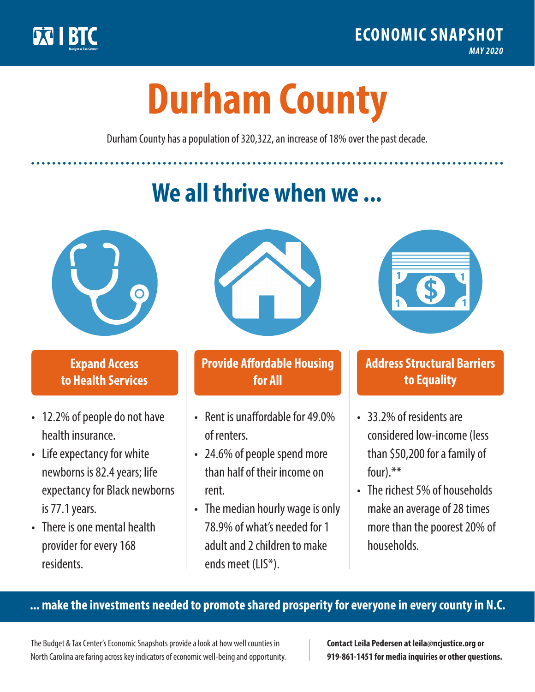

**1**

# **Durham County**

Durham County has a population of 320,322, an increase of 18% over the past decade.

# **We all thrive when we ...**



**\$ <sup>1</sup>**

**\$ <sup>1</sup>**

## **Expand Access to Health Services**

- 12.2% of people do not have health insurance.
- Life expectancy for white newborns is 82.4years; life expectancy for Black newborns is 77.1years.
- There is one mental health provider for every 168 residents.



## **Provide Affordable Housing for All**

- Rent is unaffordable for 49.0% of renters.
- 24.6% of people spend more than half of their income on rent.
- The median hourly wage is only 78.9% of what's needed for 1 adult and 2 children to make ends meet (LIS\*).



## **Address Structural Barriers to Equality**

- 33.2% of residents are considered low-income (less than \$50,200 for a family of four).\*\*
- The richest 5% of households make an average of 28 times more than the poorest 20% of households.

#### **... make the investments needed to promote shared prosperity for everyone in every county in N.C.**

The Budget & Tax Center's Economic Snapshots provide a look at how well counties in North Carolina are faring across key indicators of economic well-being and opportunity.